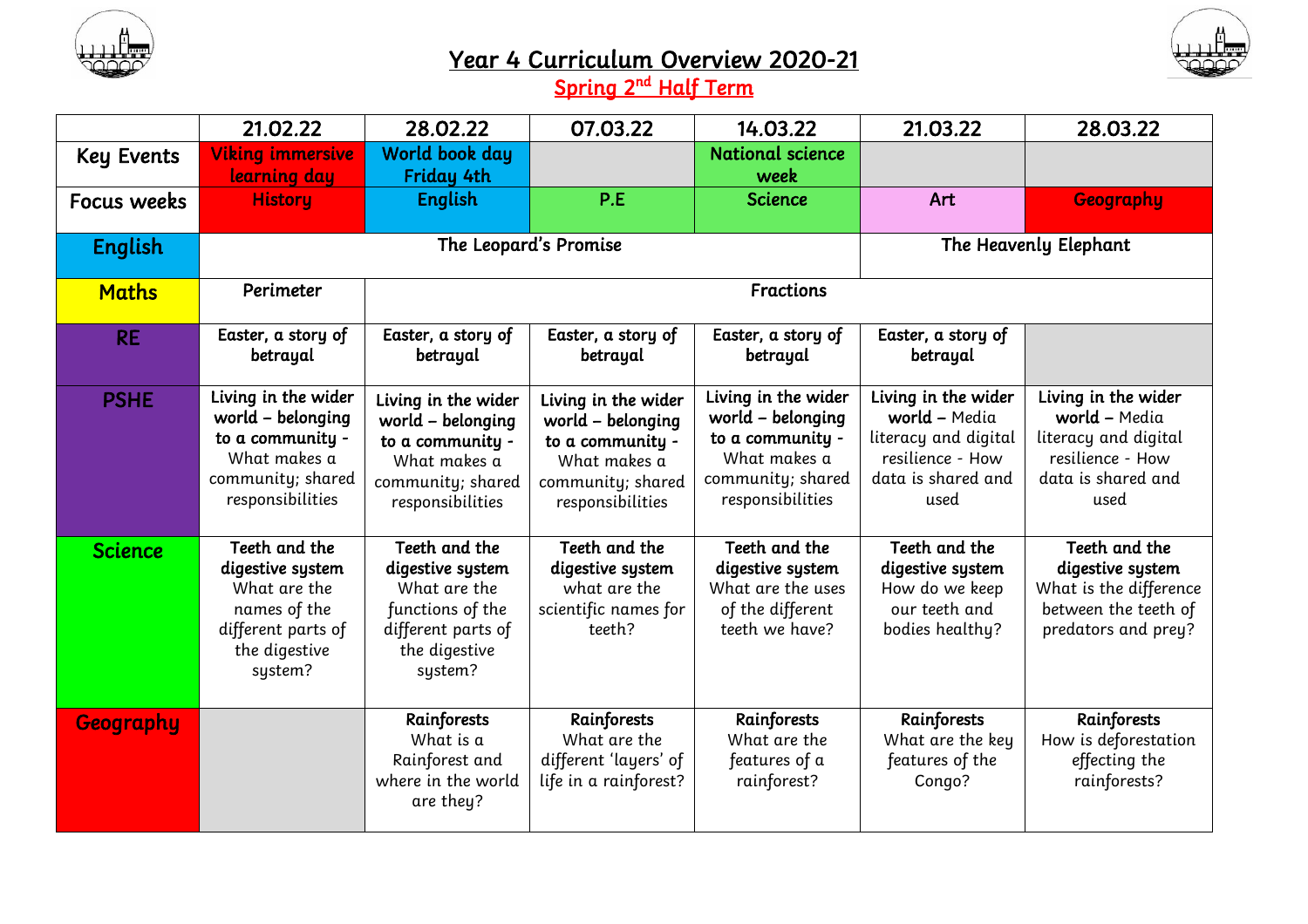



## Year 4 Curriculum Overview 2020-21

Spring 2<sup>nd</sup> Half Term

|                   | 21.02.22                                                                                                              | 28.02.22                                                                                                                | 07.03.22                                                                                                              | 14.03.22                                                                                                              | 21.03.22                                                                                                       | 28.03.22                                                                                                       |  |
|-------------------|-----------------------------------------------------------------------------------------------------------------------|-------------------------------------------------------------------------------------------------------------------------|-----------------------------------------------------------------------------------------------------------------------|-----------------------------------------------------------------------------------------------------------------------|----------------------------------------------------------------------------------------------------------------|----------------------------------------------------------------------------------------------------------------|--|
| <b>Key Events</b> | <b>Viking immersive</b>                                                                                               | World book day                                                                                                          |                                                                                                                       | <b>National science</b>                                                                                               |                                                                                                                |                                                                                                                |  |
| Focus weeks       | learning day<br><b>History</b>                                                                                        | Friday 4th<br><b>English</b>                                                                                            | P.E                                                                                                                   | week<br><b>Science</b>                                                                                                | Art                                                                                                            | <b>Geography</b>                                                                                               |  |
| <b>English</b>    |                                                                                                                       | The Leopard's Promise                                                                                                   |                                                                                                                       |                                                                                                                       |                                                                                                                | The Heavenly Elephant                                                                                          |  |
| <b>Maths</b>      | Perimeter                                                                                                             | <b>Fractions</b>                                                                                                        |                                                                                                                       |                                                                                                                       |                                                                                                                |                                                                                                                |  |
| <b>RE</b>         | Easter, a story of<br>betrayal                                                                                        | Easter, a story of<br>betrayal                                                                                          | Easter, a story of<br>betrayal                                                                                        | Easter, a story of<br>betrayal                                                                                        | Easter, a story of<br>betrayal                                                                                 |                                                                                                                |  |
| <b>PSHE</b>       | Living in the wider<br>world - belonging<br>to a community -<br>What makes a<br>community; shared<br>responsibilities | Living in the wider<br>world - belonging<br>to a community -<br>What makes a<br>community; shared<br>responsibilities   | Living in the wider<br>world - belonging<br>to a community -<br>What makes a<br>community; shared<br>responsibilities | Living in the wider<br>world - belonging<br>to a community -<br>What makes a<br>community; shared<br>responsibilities | Living in the wider<br>world - Media<br>literacy and digital<br>resilience - How<br>data is shared and<br>used | Living in the wider<br>world - Media<br>literacy and digital<br>resilience - How<br>data is shared and<br>used |  |
| <b>Science</b>    | Teeth and the<br>digestive system<br>What are the<br>names of the<br>different parts of<br>the digestive<br>system?   | Teeth and the<br>digestive system<br>What are the<br>functions of the<br>different parts of<br>the digestive<br>system? | Teeth and the<br>digestive system<br>what are the<br>scientific names for<br>teeth?                                   | Teeth and the<br>digestive system<br>What are the uses<br>of the different<br>teeth we have?                          | Teeth and the<br>digestive system<br>How do we keep<br>our teeth and<br>bodies healthy?                        | Teeth and the<br>digestive system<br>What is the difference<br>between the teeth of<br>predators and prey?     |  |
| Geography         |                                                                                                                       | Rainforests<br>What is a<br>Rainforest and<br>where in the world<br>are they?                                           | Rainforests<br>What are the<br>different 'layers' of<br>life in a rainforest?                                         | Rainforests<br>What are the<br>features of a<br>rainforest?                                                           | Rainforests<br>What are the key<br>features of the<br>Congo?                                                   | Rainforests<br>How is deforestation<br>effecting the<br>rainforests?                                           |  |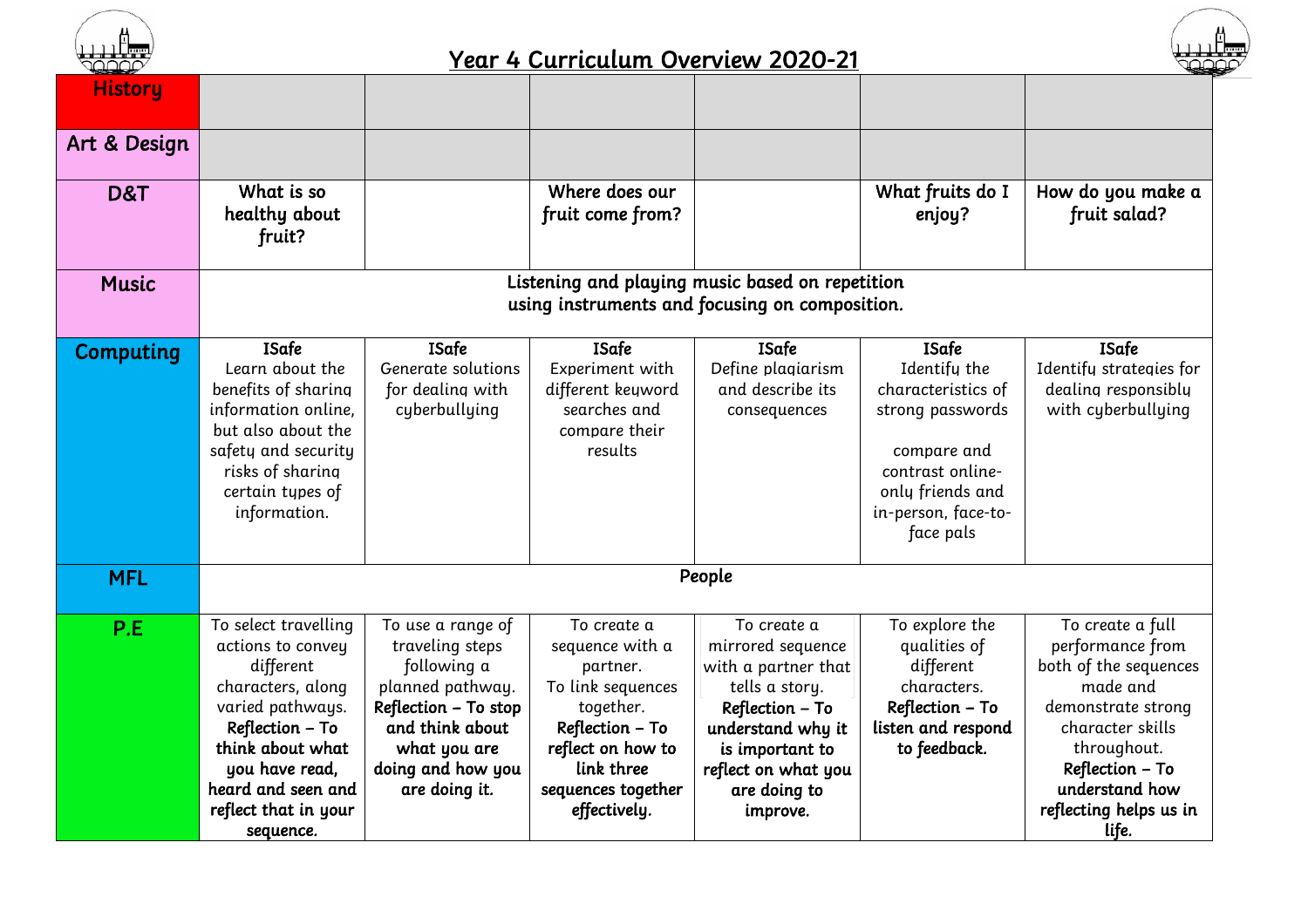

## Year 4 Curriculum Overview 2020-21



| <b>History</b> |                                                                                                                                                                                                                     |                                                                                                                                                                          |                                                                                                                                                                          |                                                                                                                                                                                         |                                                                                                                                                                   |                                                                                                                                                                                                            |
|----------------|---------------------------------------------------------------------------------------------------------------------------------------------------------------------------------------------------------------------|--------------------------------------------------------------------------------------------------------------------------------------------------------------------------|--------------------------------------------------------------------------------------------------------------------------------------------------------------------------|-----------------------------------------------------------------------------------------------------------------------------------------------------------------------------------------|-------------------------------------------------------------------------------------------------------------------------------------------------------------------|------------------------------------------------------------------------------------------------------------------------------------------------------------------------------------------------------------|
| Art & Design   |                                                                                                                                                                                                                     |                                                                                                                                                                          |                                                                                                                                                                          |                                                                                                                                                                                         |                                                                                                                                                                   |                                                                                                                                                                                                            |
| D&T            | What is so<br>healthy about<br>fruit?                                                                                                                                                                               |                                                                                                                                                                          | Where does our<br>fruit come from?                                                                                                                                       |                                                                                                                                                                                         | What fruits do I<br>enjoy?                                                                                                                                        | How do you make a<br>fruit salad?                                                                                                                                                                          |
| <b>Music</b>   | Listening and playing music based on repetition<br>using instruments and focusing on composition.                                                                                                                   |                                                                                                                                                                          |                                                                                                                                                                          |                                                                                                                                                                                         |                                                                                                                                                                   |                                                                                                                                                                                                            |
| Computing      | <b>ISafe</b><br>Learn about the<br>benefits of sharing<br>information online,<br>but also about the<br>safety and security<br>risks of sharing<br>certain types of<br>information.                                  | <b>ISafe</b><br>Generate solutions<br>for dealing with<br>cyberbullying                                                                                                  | <b>ISafe</b><br>Experiment with<br>different keuword<br>searches and<br>compare their<br>results                                                                         | <b>ISafe</b><br>Define plagiarism<br>and describe its<br>consequences                                                                                                                   | <b>ISafe</b><br>Identifu the<br>characteristics of<br>strong passwords<br>compare and<br>contrast online-<br>only friends and<br>in-person, face-to-<br>face pals | <b>ISafe</b><br>Identifu strategies for<br>dealing responsibly<br>with cyberbullying                                                                                                                       |
| <b>MFL</b>     | People                                                                                                                                                                                                              |                                                                                                                                                                          |                                                                                                                                                                          |                                                                                                                                                                                         |                                                                                                                                                                   |                                                                                                                                                                                                            |
| P.E            | To select travelling<br>actions to convey<br>different<br>characters, along<br>varied pathways.<br>Reflection - To<br>think about what<br>you have read,<br>heard and seen and<br>reflect that in your<br>sequence. | To use a range of<br>traveling steps<br>following a<br>planned pathway.<br>Reflection - To stop<br>and think about<br>what you are<br>doing and how you<br>are doing it. | To create a<br>sequence with a<br>partner.<br>To link sequences<br>together.<br>Reflection – To<br>reflect on how to<br>link three<br>sequences together<br>effectively. | To create a<br>mirrored sequence<br>with a partner that<br>tells a story.<br>Reflection - To<br>understand why it<br>is important to<br>reflect on what you<br>are doing to<br>improve. | To explore the<br>qualities of<br>different<br>characters.<br>Reflection - To<br>listen and respond<br>to feedback.                                               | To create a full<br>performance from<br>both of the sequences<br>made and<br>demonstrate strong<br>character skills<br>throughout.<br>Reflection - To<br>understand how<br>reflecting helps us in<br>life. |